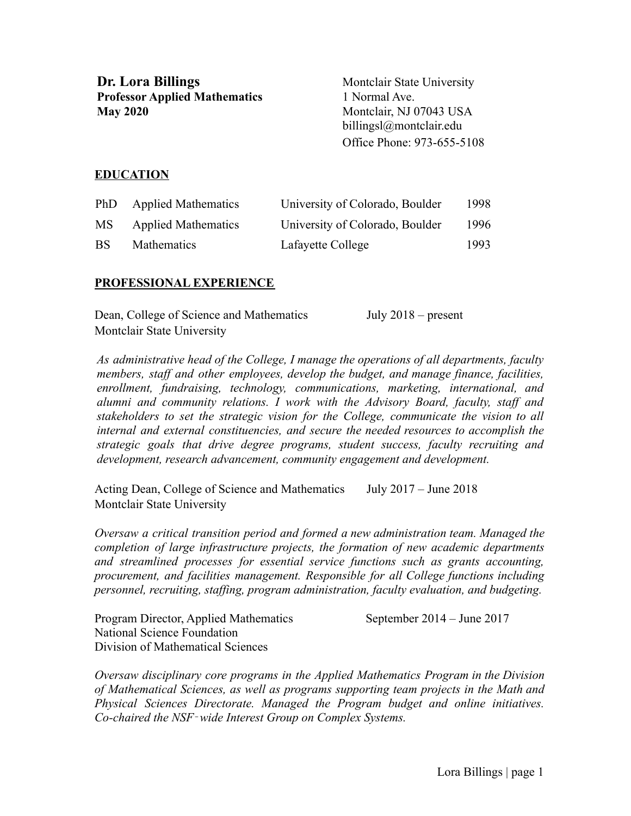**Dr.** Lora Billings Montclair State University **Professor Applied Mathematics** 1 Normal Ave. **May 2020** Montclair, NJ 07043 USA

billingsl@montclair.edu Office Phone: 973-655-5108

### **EDUCATION**

| PhD       | <b>Applied Mathematics</b> | University of Colorado, Boulder | 1998 |
|-----------|----------------------------|---------------------------------|------|
| MS.       | <b>Applied Mathematics</b> | University of Colorado, Boulder | 1996 |
| <b>BS</b> | <b>Mathematics</b>         | Lafayette College               | 1993 |

#### **PROFESSIONAL EXPERIENCE**

| Dean, College of Science and Mathematics | July $2018$ – present |
|------------------------------------------|-----------------------|
| Montclair State University               |                       |

*As administrative head of the College, I manage the operations of all departments, faculty members, staff and other employees, develop the budget, and manage finance, facilities, enrollment, fundraising, technology, communications, marketing, international, and alumni and community relations. I work with the Advisory Board, faculty, staff and stakeholders to set the strategic vision for the College, communicate the vision to all internal and external constituencies, and secure the needed resources to accomplish the strategic goals that drive degree programs, student success, faculty recruiting and development, research advancement, community engagement and development.*

Acting Dean, College of Science and Mathematics July 2017 – June 2018 Montclair State University

*Oversaw a critical transition period and formed a new administration team. Managed the completion of large infrastructure projects, the formation of new academic departments and streamlined processes for essential service functions such as grants accounting, procurement, and facilities management. Responsible for all College functions including personnel, recruiting, staffing, program administration, faculty evaluation, and budgeting.*

Program Director, Applied Mathematics September 2014 – June 2017 National Science Foundation Division of Mathematical Sciences

*Oversaw disciplinary core programs in the Applied Mathematics Program in the Division of Mathematical Sciences, as well as programs supporting team projects in the Math and Physical Sciences Directorate. Managed the Program budget and online initiatives. Co-chaired the NSF*‐*wide Interest Group on Complex Systems.*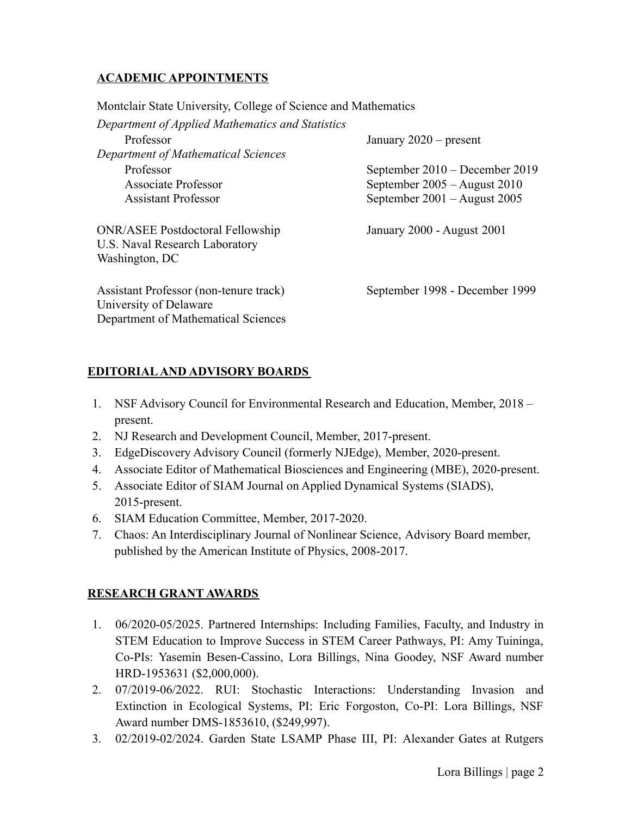## **ACADEMIC APPOINTMENTS**

Montclair State University, College of Science and Mathematics

| Department of Applied Mathematics and Statistics                                                        |                                  |  |  |  |
|---------------------------------------------------------------------------------------------------------|----------------------------------|--|--|--|
| Professor                                                                                               | January $2020$ – present         |  |  |  |
| Department of Mathematical Sciences                                                                     |                                  |  |  |  |
| Professor                                                                                               | September 2010 – December 2019   |  |  |  |
| Associate Professor                                                                                     | September $2005 -$ August $2010$ |  |  |  |
| <b>Assistant Professor</b>                                                                              | September 2001 – August 2005     |  |  |  |
| <b>ONR/ASEE Postdoctoral Fellowship</b><br>U.S. Naval Research Laboratory<br>Washington, DC             | January 2000 - August 2001       |  |  |  |
| Assistant Professor (non-tenure track)<br>University of Delaware<br>Department of Mathematical Sciences | September 1998 - December 1999   |  |  |  |

## **EDITORIALAND ADVISORY BOARDS**

- 1. NSF Advisory Council for Environmental Research and Education, Member, 2018 present.
- 2. NJ Research and Development Council, Member, 2017-present.
- 3. EdgeDiscovery Advisory Council (formerly NJEdge), Member, 2020-present.
- 4. Associate Editor of Mathematical Biosciences and Engineering (MBE), 2020-present.
- 5. Associate Editor of SIAM Journal on Applied Dynamical Systems (SIADS), 2015-present.
- 6. SIAM Education Committee, Member, 2017-2020.
- 7. Chaos: An Interdisciplinary Journal of Nonlinear Science, Advisory Board member, published by the American Institute of Physics, 2008-2017.

## **RESEARCH GRANT AWARDS**

- 1. 06/2020-05/2025. Partnered Internships: Including Families, Faculty, and Industry in STEM Education to Improve Success in STEM Career Pathways, PI: Amy Tuininga, Co-PIs: Yasemin Besen-Cassino, Lora Billings, Nina Goodey, NSF Award number HRD-1953631 (\$2,000,000).
- 2. 07/2019-06/2022. RUI: Stochastic Interactions: Understanding Invasion and Extinction in Ecological Systems, PI: Eric Forgoston, Co-PI: Lora Billings, NSF Award number DMS-1853610, (\$249,997).
- 3. 02/2019-02/2024. Garden State LSAMP Phase III, PI: Alexander Gates at Rutgers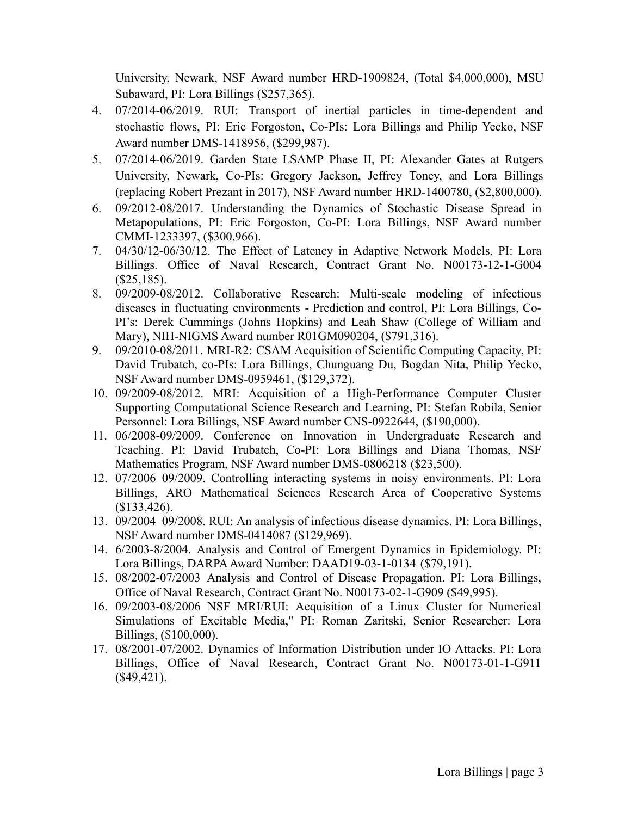University, Newark, NSF Award number HRD-1909824, (Total \$4,000,000), MSU Subaward, PI: Lora Billings (\$257,365).

- 4. 07/2014-06/2019. RUI: Transport of inertial particles in time-dependent and stochastic flows, PI: Eric Forgoston, Co-PIs: Lora Billings and Philip Yecko, NSF Award number DMS-1418956, (\$299,987).
- 5. 07/2014-06/2019. Garden State LSAMP Phase II, PI: Alexander Gates at Rutgers University, Newark, Co-PIs: Gregory Jackson, Jeffrey Toney, and Lora Billings (replacing Robert Prezant in 2017), NSF Award number HRD-1400780, (\$2,800,000).
- 6. 09/2012-08/2017. Understanding the Dynamics of Stochastic Disease Spread in Metapopulations, PI: Eric Forgoston, Co-PI: Lora Billings, NSF Award number CMMI-1233397, (\$300,966).
- 7. 04/30/12-06/30/12. The Effect of Latency in Adaptive Network Models, PI: Lora Billings. Office of Naval Research, Contract Grant No. N00173-12-1-G004 (\$25,185).
- 8. 09/2009-08/2012. Collaborative Research: Multi-scale modeling of infectious diseases in fluctuating environments - Prediction and control, PI: Lora Billings, Co-PI's: Derek Cummings (Johns Hopkins) and Leah Shaw (College of William and Mary), NIH-NIGMS Award number R01GM090204, (\$791,316).
- 9. 09/2010-08/2011. MRI-R2: CSAM Acquisition of Scientific Computing Capacity, PI: David Trubatch, co-PIs: Lora Billings, Chunguang Du, Bogdan Nita, Philip Yecko, NSF Award number DMS-0959461, (\$129,372).
- 10. 09/2009-08/2012. MRI: Acquisition of a High-Performance Computer Cluster Supporting Computational Science Research and Learning, PI: Stefan Robila, Senior Personnel: Lora Billings, NSF Award number CNS-0922644, (\$190,000).
- 11. 06/2008-09/2009. Conference on Innovation in Undergraduate Research and Teaching. PI: David Trubatch, Co-PI: Lora Billings and Diana Thomas, NSF Mathematics Program, NSF Award number DMS-0806218 (\$23,500).
- 12. 07/2006–09/2009. Controlling interacting systems in noisy environments. PI: Lora Billings, ARO Mathematical Sciences Research Area of Cooperative Systems (\$133,426).
- 13. 09/2004–09/2008. RUI: An analysis of infectious disease dynamics. PI: Lora Billings, NSF Award number DMS-0414087 (\$129,969).
- 14. 6/2003-8/2004. Analysis and Control of Emergent Dynamics in Epidemiology. PI: Lora Billings, DARPA Award Number: DAAD19-03-1-0134 (\$79,191).
- 15. 08/2002-07/2003 Analysis and Control of Disease Propagation. PI: Lora Billings, Office of Naval Research, Contract Grant No. N00173-02-1-G909 (\$49,995).
- 16. 09/2003-08/2006 NSF MRI/RUI: Acquisition of a Linux Cluster for Numerical Simulations of Excitable Media," PI: Roman Zaritski, Senior Researcher: Lora Billings, (\$100,000).
- 17. 08/2001-07/2002. Dynamics of Information Distribution under IO Attacks. PI: Lora Billings, Office of Naval Research, Contract Grant No. N00173-01-1-G911  $($49,421).$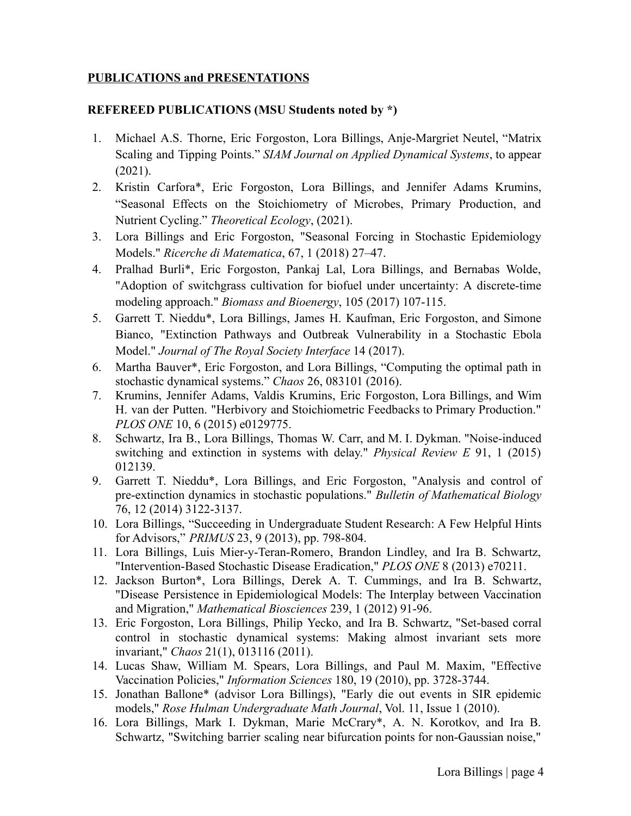## **PUBLICATIONS and PRESENTATIONS**

## **REFEREED PUBLICATIONS (MSU Students noted by \*)**

- 1. Michael A.S. Thorne, Eric Forgoston, Lora Billings, Anje-Margriet Neutel, "Matrix Scaling and Tipping Points." *SIAM Journal on Applied Dynamical Systems*, to appear (2021).
- 2. Kristin Carfora\*, Eric Forgoston, Lora Billings, and Jennifer Adams Krumins, "Seasonal Effects on the Stoichiometry of Microbes, Primary Production, and Nutrient Cycling." *Theoretical Ecology*, (2021).
- 3. Lora Billings and Eric Forgoston, "Seasonal Forcing in Stochastic Epidemiology Models." *Ricerche di Matematica*, 67, 1 (2018) 27–47.
- 4. Pralhad Burli\*, Eric Forgoston, Pankaj Lal, Lora Billings, and Bernabas Wolde, "Adoption of switchgrass cultivation for biofuel under uncertainty: A discrete-time modeling approach." *Biomass and Bioenergy*, 105 (2017) 107-115.
- 5. Garrett T. Nieddu\*, Lora Billings, James H. Kaufman, Eric Forgoston, and Simone Bianco, "Extinction Pathways and Outbreak Vulnerability in a Stochastic Ebola Model." *Journal of The Royal Society Interface* 14 (2017).
- 6. Martha Bauver\*, Eric Forgoston, and Lora Billings, "Computing the optimal path in stochastic dynamical systems." *Chaos* 26, 083101 (2016).
- 7. Krumins, Jennifer Adams, Valdis Krumins, Eric Forgoston, Lora Billings, and Wim H. van der Putten. "Herbivory and Stoichiometric Feedbacks to Primary Production." *PLOS ONE* 10, 6 (2015) e0129775.
- 8. Schwartz, Ira B., Lora Billings, Thomas W. Carr, and M. I. Dykman. "Noise-induced switching and extinction in systems with delay." *Physical Review E* 91, 1 (2015) 012139.
- 9. Garrett T. Nieddu\*, Lora Billings, and Eric Forgoston, "Analysis and control of pre-extinction dynamics in stochastic populations." *Bulletin of Mathematical Biology* 76, 12 (2014) 3122-3137.
- 10. Lora Billings, "Succeeding in Undergraduate Student Research: A Few Helpful Hints for Advisors," *PRIMUS* 23, 9 (2013), pp. 798-804.
- 11. Lora Billings, Luis Mier-y-Teran-Romero, Brandon Lindley, and Ira B. Schwartz, "Intervention-Based Stochastic Disease Eradication," *PLOS ONE* 8 (2013) e70211.
- 12. Jackson Burton\*, Lora Billings, Derek A. T. Cummings, and Ira B. Schwartz, "Disease Persistence in Epidemiological Models: The Interplay between Vaccination and Migration," *Mathematical Biosciences* 239, 1 (2012) 91-96.
- 13. Eric Forgoston, Lora Billings, Philip Yecko, and Ira B. Schwartz, "Set-based corral control in stochastic dynamical systems: Making almost invariant sets more invariant," *Chaos* 21(1), 013116 (2011).
- 14. Lucas Shaw, William M. Spears, Lora Billings, and Paul M. Maxim, "Effective Vaccination Policies," *Information Sciences* 180, 19 (2010), pp. 3728-3744.
- 15. Jonathan Ballone\* (advisor Lora Billings), "Early die out events in SIR epidemic models," *Rose Hulman Undergraduate Math Journal*, Vol. 11, Issue 1 (2010).
- 16. Lora Billings, Mark I. Dykman, Marie McCrary\*, A. N. Korotkov, and Ira B. Schwartz, "Switching barrier scaling near bifurcation points for non-Gaussian noise,"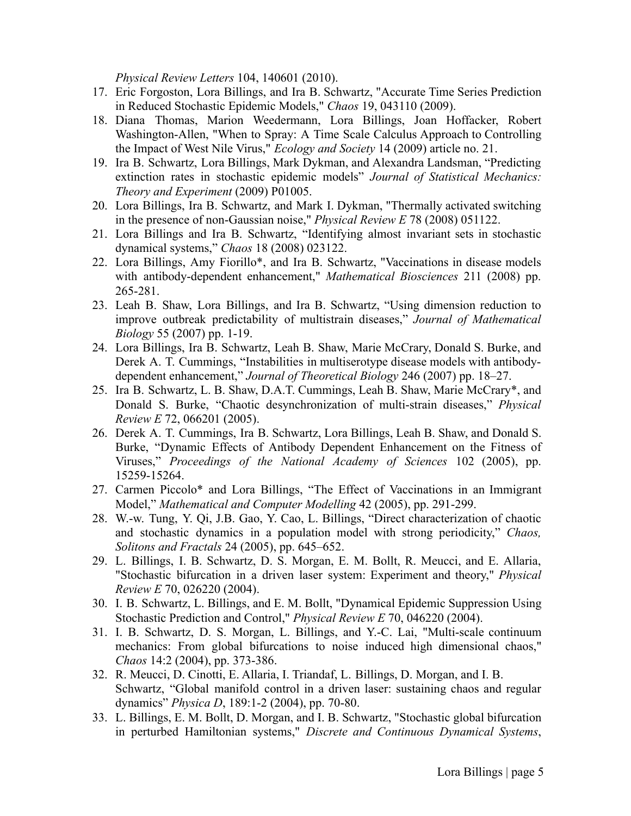*Physical Review Letters* 104, 140601 (2010).

- 17. Eric Forgoston, Lora Billings, and Ira B. Schwartz, "Accurate Time Series Prediction in Reduced Stochastic Epidemic Models," *Chaos* 19, 043110 (2009).
- 18. Diana Thomas, Marion Weedermann, Lora Billings, Joan Hoffacker, Robert Washington-Allen, "When to Spray: A Time Scale Calculus Approach to Controlling the Impact of West Nile Virus," *Ecology and Society* 14 (2009) article no. 21.
- 19. Ira B. Schwartz, Lora Billings, Mark Dykman, and Alexandra Landsman, "Predicting extinction rates in stochastic epidemic models" *Journal of Statistical Mechanics: Theory and Experiment* (2009) P01005.
- 20. Lora Billings, Ira B. Schwartz, and Mark I. Dykman, "Thermally activated switching in the presence of non-Gaussian noise," *Physical Review E* 78 (2008) 051122.
- 21. Lora Billings and Ira B. Schwartz, "Identifying almost invariant sets in stochastic dynamical systems," *Chaos* 18 (2008) 023122.
- 22. Lora Billings, Amy Fiorillo\*, and Ira B. Schwartz, "Vaccinations in disease models with antibody-dependent enhancement," *Mathematical Biosciences* 211 (2008) pp. 265-281.
- 23. Leah B. Shaw, Lora Billings, and Ira B. Schwartz, "Using dimension reduction to improve outbreak predictability of multistrain diseases," *Journal of Mathematical Biology* 55 (2007) pp. 1-19.
- 24. Lora Billings, Ira B. Schwartz, Leah B. Shaw, Marie McCrary, Donald S. Burke, and Derek A. T. Cummings, "Instabilities in multiserotype disease models with antibodydependent enhancement," *Journal of Theoretical Biology* 246 (2007) pp. 18–27.
- 25. Ira B. Schwartz, L. B. Shaw, D.A.T. Cummings, Leah B. Shaw, Marie McCrary\*, and Donald S. Burke, "Chaotic desynchronization of multi-strain diseases," *Physical Review E* 72, 066201 (2005).
- 26. Derek A. T. Cummings, Ira B. Schwartz, Lora Billings, Leah B. Shaw, and Donald S. Burke, "Dynamic Effects of Antibody Dependent Enhancement on the Fitness of Viruses," *Proceedings of the National Academy of Sciences* 102 (2005), pp. 15259-15264.
- 27. Carmen Piccolo\* and Lora Billings, "The Effect of Vaccinations in an Immigrant Model," *Mathematical and Computer Modelling* 42 (2005), pp. 291-299.
- 28. W.-w. Tung, Y. Qi, J.B. Gao, Y. Cao, L. Billings, "Direct characterization of chaotic and stochastic dynamics in a population model with strong periodicity," *Chaos, Solitons and Fractals* 24 (2005), pp. 645–652.
- 29. L. Billings, I. B. Schwartz, D. S. Morgan, E. M. Bollt, R. Meucci, and E. Allaria, "Stochastic bifurcation in a driven laser system: Experiment and theory," *Physical Review E* 70, 026220 (2004).
- 30. I. B. Schwartz, L. Billings, and E. M. Bollt, "Dynamical Epidemic Suppression Using Stochastic Prediction and Control," *Physical Review E* 70, 046220 (2004).
- 31. I. B. Schwartz, D. S. Morgan, L. Billings, and Y.-C. Lai, "Multi-scale continuum mechanics: From global bifurcations to noise induced high dimensional chaos," *Chaos* 14:2 (2004), pp. 373-386.
- 32. R. Meucci, D. Cinotti, E. Allaria, I. Triandaf, L. Billings, D. Morgan, and I. B. Schwartz, "Global manifold control in a driven laser: sustaining chaos and regular dynamics" *Physica D*, 189:1-2 (2004), pp. 70-80.
- 33. L. Billings, E. M. Bollt, D. Morgan, and I. B. Schwartz, "Stochastic global bifurcation in perturbed Hamiltonian systems," *Discrete and Continuous Dynamical Systems*,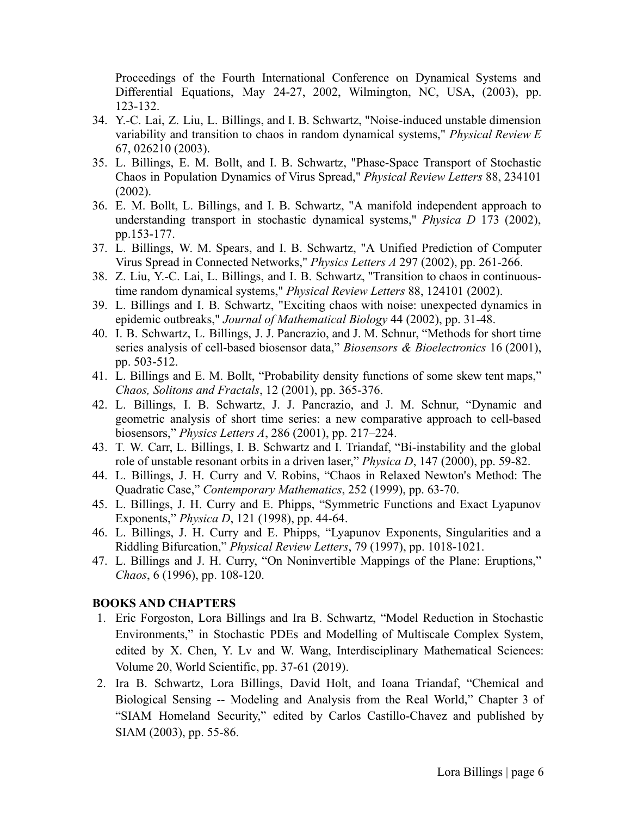Proceedings of the Fourth International Conference on Dynamical Systems and Differential Equations, May 24-27, 2002, Wilmington, NC, USA, (2003), pp. 123-132.

- 34. Y.-C. Lai, Z. Liu, L. Billings, and I. B. Schwartz, "Noise-induced unstable dimension variability and transition to chaos in random dynamical systems," *Physical Review E* 67, 026210 (2003).
- 35. L. Billings, E. M. Bollt, and I. B. Schwartz, "Phase-Space Transport of Stochastic Chaos in Population Dynamics of Virus Spread," *Physical Review Letters* 88, 234101 (2002).
- 36. E. M. Bollt, L. Billings, and I. B. Schwartz, "A manifold independent approach to understanding transport in stochastic dynamical systems," *Physica D* 173 (2002), pp.153-177.
- 37. L. Billings, W. M. Spears, and I. B. Schwartz, "A Unified Prediction of Computer Virus Spread in Connected Networks," *Physics Letters A* 297 (2002), pp. 261-266.
- 38. Z. Liu, Y.-C. Lai, L. Billings, and I. B. Schwartz, "Transition to chaos in continuoustime random dynamical systems," *Physical Review Letters* 88, 124101 (2002).
- 39. L. Billings and I. B. Schwartz, "Exciting chaos with noise: unexpected dynamics in epidemic outbreaks," *Journal of Mathematical Biology* 44 (2002), pp. 31-48.
- 40. I. B. Schwartz, L. Billings, J. J. Pancrazio, and J. M. Schnur, "Methods for short time series analysis of cell-based biosensor data," *Biosensors & Bioelectronics* 16 (2001), pp. 503-512.
- 41. L. Billings and E. M. Bollt, "Probability density functions of some skew tent maps," *Chaos, Solitons and Fractals*, 12 (2001), pp. 365-376.
- 42. L. Billings, I. B. Schwartz, J. J. Pancrazio, and J. M. Schnur, "Dynamic and geometric analysis of short time series: a new comparative approach to cell-based biosensors," *Physics Letters A*, 286 (2001), pp. 217–224.
- 43. T. W. Carr, L. Billings, I. B. Schwartz and I. Triandaf, "Bi-instability and the global role of unstable resonant orbits in a driven laser," *Physica D*, 147 (2000), pp. 59-82.
- 44. L. Billings, J. H. Curry and V. Robins, "Chaos in Relaxed Newton's Method: The Quadratic Case," *Contemporary Mathematics*, 252 (1999), pp. 63-70.
- 45. L. Billings, J. H. Curry and E. Phipps, "Symmetric Functions and Exact Lyapunov Exponents," *Physica D*, 121 (1998), pp. 44-64.
- 46. L. Billings, J. H. Curry and E. Phipps, "Lyapunov Exponents, Singularities and a Riddling Bifurcation," *Physical Review Letters*, 79 (1997), pp. 1018-1021.
- 47. L. Billings and J. H. Curry, "On Noninvertible Mappings of the Plane: Eruptions," *Chaos*, 6 (1996), pp. 108-120.

#### **BOOKS AND CHAPTERS**

- 1. Eric Forgoston, Lora Billings and Ira B. Schwartz, "Model Reduction in Stochastic Environments," in Stochastic PDEs and Modelling of Multiscale Complex System, edited by X. Chen, Y. Lv and W. Wang, Interdisciplinary Mathematical Sciences: Volume 20, World Scientific, pp. 37-61 (2019).
- 2. Ira B. Schwartz, Lora Billings, David Holt, and Ioana Triandaf, "Chemical and Biological Sensing -- Modeling and Analysis from the Real World," Chapter 3 of "SIAM Homeland Security," edited by Carlos Castillo-Chavez and published by SIAM (2003), pp. 55-86.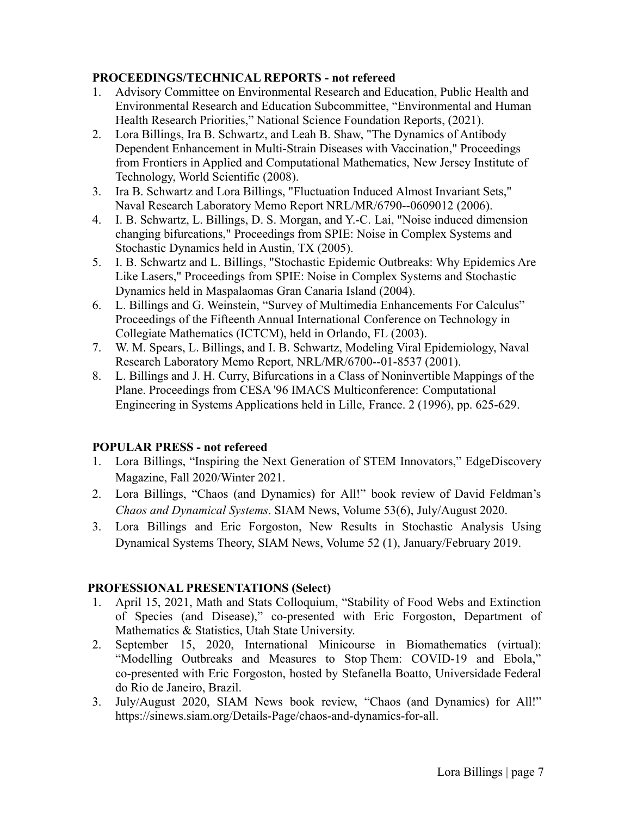## **PROCEEDINGS/TECHNICAL REPORTS - not refereed**

- 1. Advisory Committee on Environmental Research and Education, Public Health and Environmental Research and Education Subcommittee, "Environmental and Human Health Research Priorities," National Science Foundation Reports, (2021).
- 2. Lora Billings, Ira B. Schwartz, and Leah B. Shaw, "The Dynamics of Antibody Dependent Enhancement in Multi-Strain Diseases with Vaccination," Proceedings from Frontiers in Applied and Computational Mathematics, New Jersey Institute of Technology, World Scientific (2008).
- 3. Ira B. Schwartz and Lora Billings, "Fluctuation Induced Almost Invariant Sets," Naval Research Laboratory Memo Report NRL/MR/6790--0609012 (2006).
- 4. I. B. Schwartz, L. Billings, D. S. Morgan, and Y.-C. Lai, "Noise induced dimension changing bifurcations," Proceedings from SPIE: Noise in Complex Systems and Stochastic Dynamics held in Austin, TX (2005).
- 5. I. B. Schwartz and L. Billings, "Stochastic Epidemic Outbreaks: Why Epidemics Are Like Lasers," Proceedings from SPIE: Noise in Complex Systems and Stochastic Dynamics held in Maspalaomas Gran Canaria Island (2004).
- 6. L. Billings and G. Weinstein, "Survey of Multimedia Enhancements For Calculus" Proceedings of the Fifteenth Annual International Conference on Technology in Collegiate Mathematics (ICTCM), held in Orlando, FL (2003).
- 7. W. M. Spears, L. Billings, and I. B. Schwartz, Modeling Viral Epidemiology, Naval Research Laboratory Memo Report, NRL/MR/6700--01-8537 (2001).
- 8. L. Billings and J. H. Curry, Bifurcations in a Class of Noninvertible Mappings of the Plane. Proceedings from CESA '96 IMACS Multiconference: Computational Engineering in Systems Applications held in Lille, France. 2 (1996), pp. 625-629.

## **POPULAR PRESS - not refereed**

- 1. Lora Billings, "Inspiring the Next Generation of STEM Innovators," EdgeDiscovery Magazine, Fall 2020/Winter 2021.
- 2. Lora Billings, "Chaos (and Dynamics) for All!" book review of David Feldman's *Chaos and Dynamical Systems*. SIAM News, Volume 53(6), July/August 2020.
- 3. Lora Billings and Eric Forgoston, New Results in Stochastic Analysis Using Dynamical Systems Theory, SIAM News, Volume 52 (1), January/February 2019.

## **PROFESSIONAL PRESENTATIONS (Select)**

- 1. April 15, 2021, Math and Stats Colloquium, "Stability of Food Webs and Extinction of Species (and Disease)," co-presented with Eric Forgoston, Department of Mathematics & Statistics, Utah State University.
- 2. September 15, 2020, International Minicourse in Biomathematics (virtual): "Modelling Outbreaks and Measures to Stop Them: COVID-19 and Ebola," co-presented with Eric Forgoston, hosted by Stefanella Boatto, Universidade Federal do Rio de Janeiro, Brazil.
- 3. July/August 2020, SIAM News book review, "Chaos (and Dynamics) for All!" https://sinews.siam.org/Details-Page/chaos-and-dynamics-for-all.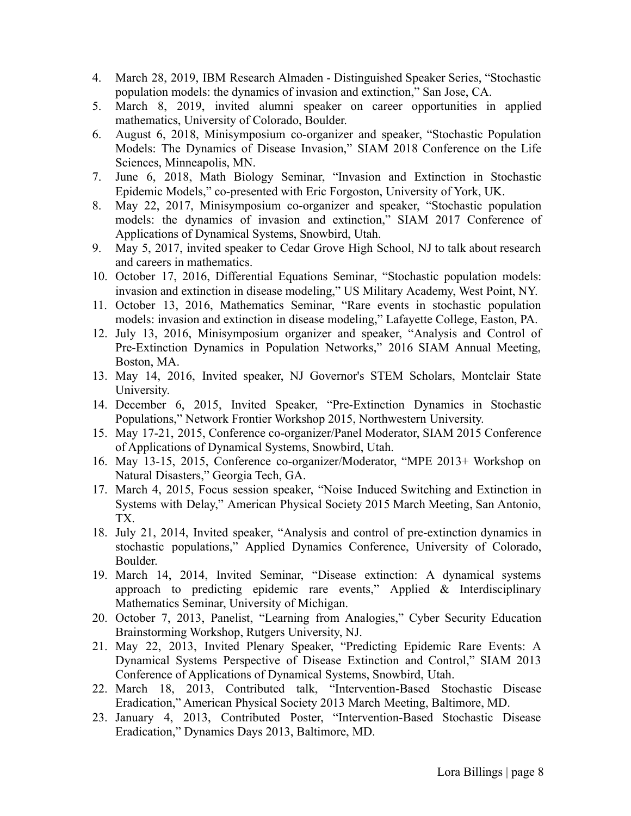- 4. March 28, 2019, IBM Research Almaden Distinguished Speaker Series, "Stochastic population models: the dynamics of invasion and extinction," San Jose, CA.
- 5. March 8, 2019, invited alumni speaker on career opportunities in applied mathematics, University of Colorado, Boulder.
- 6. August 6, 2018, Minisymposium co-organizer and speaker, "Stochastic Population Models: The Dynamics of Disease Invasion," SIAM 2018 Conference on the Life Sciences, Minneapolis, MN.
- 7. June 6, 2018, Math Biology Seminar, "Invasion and Extinction in Stochastic Epidemic Models," co-presented with Eric Forgoston, University of York, UK.
- 8. May 22, 2017, Minisymposium co-organizer and speaker, "Stochastic population models: the dynamics of invasion and extinction," SIAM 2017 Conference of Applications of Dynamical Systems, Snowbird, Utah.
- 9. May 5, 2017, invited speaker to Cedar Grove High School, NJ to talk about research and careers in mathematics.
- 10. October 17, 2016, Differential Equations Seminar, "Stochastic population models: invasion and extinction in disease modeling," US Military Academy, West Point, NY.
- 11. October 13, 2016, Mathematics Seminar, "Rare events in stochastic population models: invasion and extinction in disease modeling," Lafayette College, Easton, PA.
- 12. July 13, 2016, Minisymposium organizer and speaker, "Analysis and Control of Pre-Extinction Dynamics in Population Networks," 2016 SIAM Annual Meeting, Boston, MA.
- 13. May 14, 2016, Invited speaker, NJ Governor's STEM Scholars, Montclair State University.
- 14. December 6, 2015, Invited Speaker, "Pre-Extinction Dynamics in Stochastic Populations," Network Frontier Workshop 2015, Northwestern University.
- 15. May 17-21, 2015, Conference co-organizer/Panel Moderator, SIAM 2015 Conference of Applications of Dynamical Systems, Snowbird, Utah.
- 16. May 13-15, 2015, Conference co-organizer/Moderator, "MPE 2013+ Workshop on Natural Disasters," Georgia Tech, GA.
- 17. March 4, 2015, Focus session speaker, "Noise Induced Switching and Extinction in Systems with Delay," American Physical Society 2015 March Meeting, San Antonio, TX.
- 18. July 21, 2014, Invited speaker, "Analysis and control of pre-extinction dynamics in stochastic populations," Applied Dynamics Conference, University of Colorado, Boulder.
- 19. March 14, 2014, Invited Seminar, "Disease extinction: A dynamical systems approach to predicting epidemic rare events," Applied & Interdisciplinary Mathematics Seminar, University of Michigan.
- 20. October 7, 2013, Panelist, "Learning from Analogies," Cyber Security Education Brainstorming Workshop, Rutgers University, NJ.
- 21. May 22, 2013, Invited Plenary Speaker, "Predicting Epidemic Rare Events: A Dynamical Systems Perspective of Disease Extinction and Control," SIAM 2013 Conference of Applications of Dynamical Systems, Snowbird, Utah.
- 22. March 18, 2013, Contributed talk, "Intervention-Based Stochastic Disease Eradication," American Physical Society 2013 March Meeting, Baltimore, MD.
- 23. January 4, 2013, Contributed Poster, "Intervention-Based Stochastic Disease Eradication," Dynamics Days 2013, Baltimore, MD.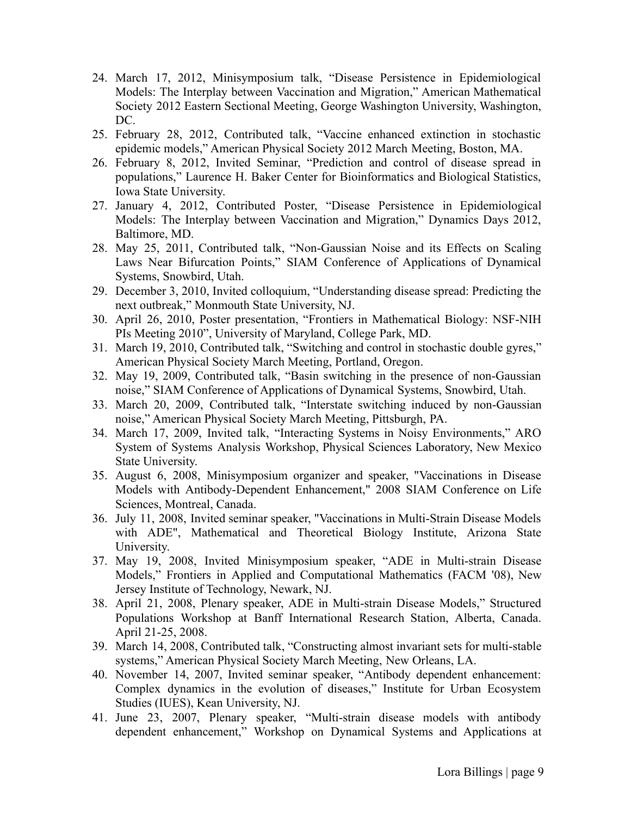- 24. March 17, 2012, Minisymposium talk, "Disease Persistence in Epidemiological Models: The Interplay between Vaccination and Migration," American Mathematical Society 2012 Eastern Sectional Meeting, George Washington University, Washington, DC.
- 25. February 28, 2012, Contributed talk, "Vaccine enhanced extinction in stochastic epidemic models," American Physical Society 2012 March Meeting, Boston, MA.
- 26. February 8, 2012, Invited Seminar, "Prediction and control of disease spread in populations," Laurence H. Baker Center for Bioinformatics and Biological Statistics, Iowa State University.
- 27. January 4, 2012, Contributed Poster, "Disease Persistence in Epidemiological Models: The Interplay between Vaccination and Migration," Dynamics Days 2012, Baltimore, MD.
- 28. May 25, 2011, Contributed talk, "Non-Gaussian Noise and its Effects on Scaling Laws Near Bifurcation Points," SIAM Conference of Applications of Dynamical Systems, Snowbird, Utah.
- 29. December 3, 2010, Invited colloquium, "Understanding disease spread: Predicting the next outbreak," Monmouth State University, NJ.
- 30. April 26, 2010, Poster presentation, "Frontiers in Mathematical Biology: NSF-NIH PIs Meeting 2010", University of Maryland, College Park, MD.
- 31. March 19, 2010, Contributed talk, "Switching and control in stochastic double gyres," American Physical Society March Meeting, Portland, Oregon.
- 32. May 19, 2009, Contributed talk, "Basin switching in the presence of non-Gaussian noise," SIAM Conference of Applications of Dynamical Systems, Snowbird, Utah.
- 33. March 20, 2009, Contributed talk, "Interstate switching induced by non-Gaussian noise," American Physical Society March Meeting, Pittsburgh, PA.
- 34. March 17, 2009, Invited talk, "Interacting Systems in Noisy Environments," ARO System of Systems Analysis Workshop, Physical Sciences Laboratory, New Mexico State University.
- 35. August 6, 2008, Minisymposium organizer and speaker, "Vaccinations in Disease Models with Antibody-Dependent Enhancement," 2008 SIAM Conference on Life Sciences, Montreal, Canada.
- 36. July 11, 2008, Invited seminar speaker, "Vaccinations in Multi-Strain Disease Models with ADE", Mathematical and Theoretical Biology Institute, Arizona State University.
- 37. May 19, 2008, Invited Minisymposium speaker, "ADE in Multi-strain Disease Models," Frontiers in Applied and Computational Mathematics (FACM '08), New Jersey Institute of Technology, Newark, NJ.
- 38. April 21, 2008, Plenary speaker, ADE in Multi-strain Disease Models," Structured Populations Workshop at Banff International Research Station, Alberta, Canada. April 21-25, 2008.
- 39. March 14, 2008, Contributed talk, "Constructing almost invariant sets for multi-stable systems," American Physical Society March Meeting, New Orleans, LA.
- 40. November 14, 2007, Invited seminar speaker, "Antibody dependent enhancement: Complex dynamics in the evolution of diseases," Institute for Urban Ecosystem Studies (IUES), Kean University, NJ.
- 41. June 23, 2007, Plenary speaker, "Multi-strain disease models with antibody dependent enhancement," Workshop on Dynamical Systems and Applications at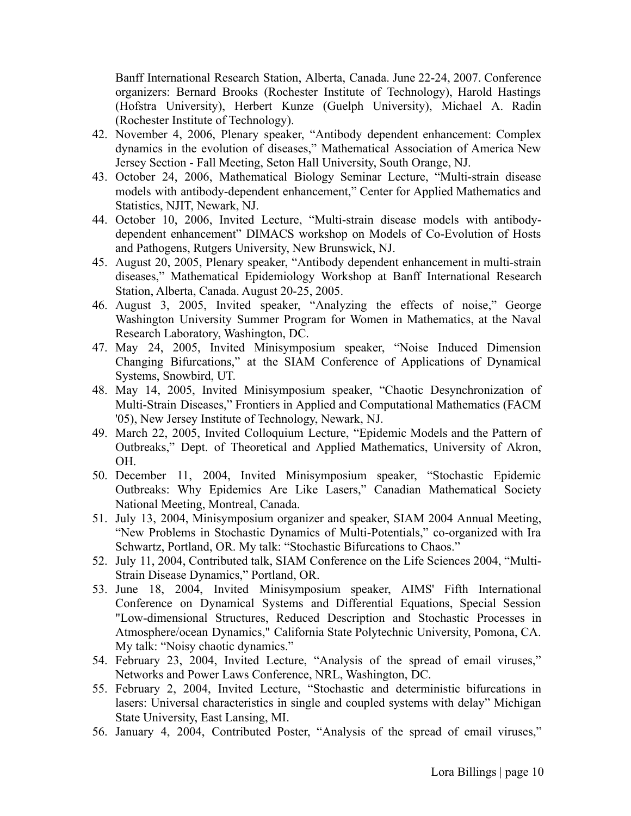Banff International Research Station, Alberta, Canada. June 22-24, 2007. Conference organizers: Bernard Brooks (Rochester Institute of Technology), Harold Hastings (Hofstra University), Herbert Kunze (Guelph University), Michael A. Radin (Rochester Institute of Technology).

- 42. November 4, 2006, Plenary speaker, "Antibody dependent enhancement: Complex dynamics in the evolution of diseases," Mathematical Association of America New Jersey Section - Fall Meeting, Seton Hall University, South Orange, NJ.
- 43. October 24, 2006, Mathematical Biology Seminar Lecture, "Multi-strain disease models with antibody-dependent enhancement," Center for Applied Mathematics and Statistics, NJIT, Newark, NJ.
- 44. October 10, 2006, Invited Lecture, "Multi-strain disease models with antibodydependent enhancement" DIMACS workshop on Models of Co-Evolution of Hosts and Pathogens, Rutgers University, New Brunswick, NJ.
- 45. August 20, 2005, Plenary speaker, "Antibody dependent enhancement in multi-strain diseases," Mathematical Epidemiology Workshop at Banff International Research Station, Alberta, Canada. August 20-25, 2005.
- 46. August 3, 2005, Invited speaker, "Analyzing the effects of noise," George Washington University Summer Program for Women in Mathematics, at the Naval Research Laboratory, Washington, DC.
- 47. May 24, 2005, Invited Minisymposium speaker, "Noise Induced Dimension Changing Bifurcations," at the SIAM Conference of Applications of Dynamical Systems, Snowbird, UT.
- 48. May 14, 2005, Invited Minisymposium speaker, "Chaotic Desynchronization of Multi-Strain Diseases," Frontiers in Applied and Computational Mathematics (FACM '05), New Jersey Institute of Technology, Newark, NJ.
- 49. March 22, 2005, Invited Colloquium Lecture, "Epidemic Models and the Pattern of Outbreaks," Dept. of Theoretical and Applied Mathematics, University of Akron, OH.
- 50. December 11, 2004, Invited Minisymposium speaker, "Stochastic Epidemic Outbreaks: Why Epidemics Are Like Lasers," Canadian Mathematical Society National Meeting, Montreal, Canada.
- 51. July 13, 2004, Minisymposium organizer and speaker, SIAM 2004 Annual Meeting, "New Problems in Stochastic Dynamics of Multi-Potentials," co-organized with Ira Schwartz, Portland, OR. My talk: "Stochastic Bifurcations to Chaos."
- 52. July 11, 2004, Contributed talk, SIAM Conference on the Life Sciences 2004, "Multi-Strain Disease Dynamics," Portland, OR.
- 53. June 18, 2004, Invited Minisymposium speaker, AIMS' Fifth International Conference on Dynamical Systems and Differential Equations, Special Session "Low-dimensional Structures, Reduced Description and Stochastic Processes in Atmosphere/ocean Dynamics," California State Polytechnic University, Pomona, CA. My talk: "Noisy chaotic dynamics."
- 54. February 23, 2004, Invited Lecture, "Analysis of the spread of email viruses," Networks and Power Laws Conference, NRL, Washington, DC.
- 55. February 2, 2004, Invited Lecture, "Stochastic and deterministic bifurcations in lasers: Universal characteristics in single and coupled systems with delay" Michigan State University, East Lansing, MI.
- 56. January 4, 2004, Contributed Poster, "Analysis of the spread of email viruses,"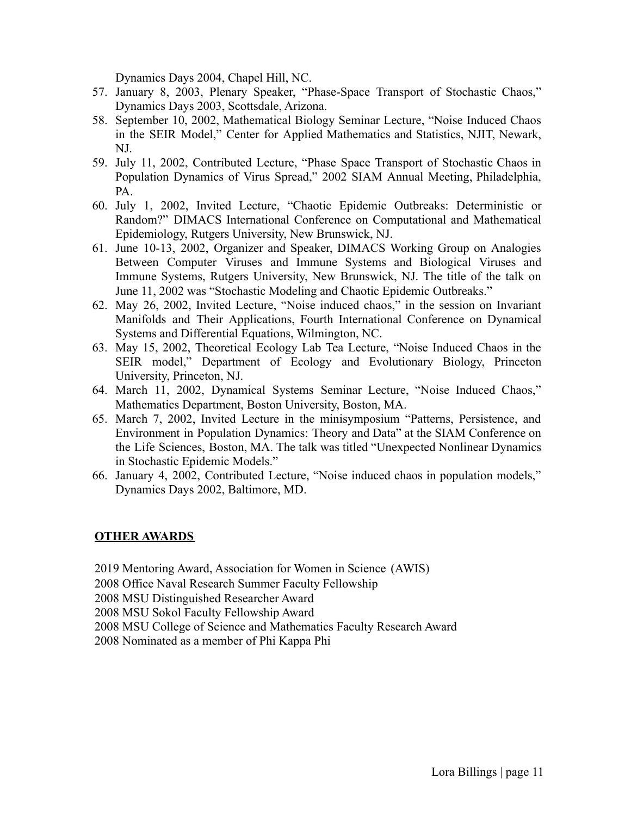Dynamics Days 2004, Chapel Hill, NC.

- 57. January 8, 2003, Plenary Speaker, "Phase-Space Transport of Stochastic Chaos," Dynamics Days 2003, Scottsdale, Arizona.
- 58. September 10, 2002, Mathematical Biology Seminar Lecture, "Noise Induced Chaos in the SEIR Model," Center for Applied Mathematics and Statistics, NJIT, Newark, NJ.
- 59. July 11, 2002, Contributed Lecture, "Phase Space Transport of Stochastic Chaos in Population Dynamics of Virus Spread," 2002 SIAM Annual Meeting, Philadelphia, PA.
- 60. July 1, 2002, Invited Lecture, "Chaotic Epidemic Outbreaks: Deterministic or Random?" DIMACS International Conference on Computational and Mathematical Epidemiology, Rutgers University, New Brunswick, NJ.
- 61. June 10-13, 2002, Organizer and Speaker, DIMACS Working Group on Analogies Between Computer Viruses and Immune Systems and Biological Viruses and Immune Systems, Rutgers University, New Brunswick, NJ. The title of the talk on June 11, 2002 was "Stochastic Modeling and Chaotic Epidemic Outbreaks."
- 62. May 26, 2002, Invited Lecture, "Noise induced chaos," in the session on Invariant Manifolds and Their Applications, Fourth International Conference on Dynamical Systems and Differential Equations, Wilmington, NC.
- 63. May 15, 2002, Theoretical Ecology Lab Tea Lecture, "Noise Induced Chaos in the SEIR model," Department of Ecology and Evolutionary Biology, Princeton University, Princeton, NJ.
- 64. March 11, 2002, Dynamical Systems Seminar Lecture, "Noise Induced Chaos," Mathematics Department, Boston University, Boston, MA.
- 65. March 7, 2002, Invited Lecture in the minisymposium "Patterns, Persistence, and Environment in Population Dynamics: Theory and Data" at the SIAM Conference on the Life Sciences, Boston, MA. The talk was titled "Unexpected Nonlinear Dynamics in Stochastic Epidemic Models."
- 66. January 4, 2002, Contributed Lecture, "Noise induced chaos in population models," Dynamics Days 2002, Baltimore, MD.

## **OTHER AWARDS**

2019 Mentoring Award, Association for Women in Science (AWIS) 2008 Office Naval Research Summer Faculty Fellowship 2008 MSU Distinguished Researcher Award 2008 MSU Sokol Faculty Fellowship Award 2008 MSU College of Science and Mathematics Faculty Research Award 2008 Nominated as a member of Phi Kappa Phi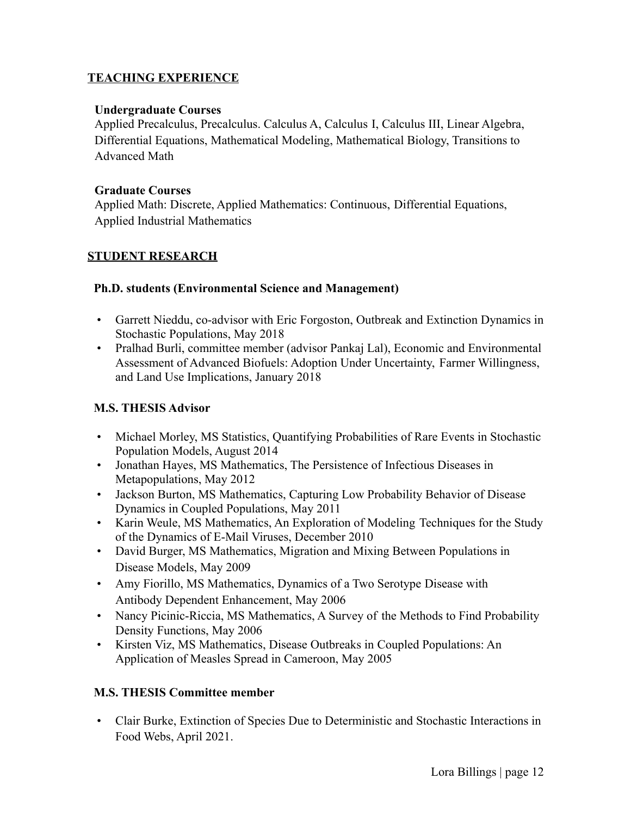## **TEACHING EXPERIENCE**

#### **Undergraduate Courses**

Applied Precalculus, Precalculus. Calculus A, Calculus I, Calculus III, Linear Algebra, Differential Equations, Mathematical Modeling, Mathematical Biology, Transitions to Advanced Math

#### **Graduate Courses**

Applied Math: Discrete, Applied Mathematics: Continuous, Differential Equations, Applied Industrial Mathematics

## **STUDENT RESEARCH**

#### **Ph.D. students (Environmental Science and Management)**

- Garrett Nieddu, co-advisor with Eric Forgoston, Outbreak and Extinction Dynamics in Stochastic Populations, May 2018
- Pralhad Burli, committee member (advisor Pankaj Lal), Economic and Environmental Assessment of Advanced Biofuels: Adoption Under Uncertainty, Farmer Willingness, and Land Use Implications, January 2018

## **M.S. THESIS Advisor**

- Michael Morley, MS Statistics, Quantifying Probabilities of Rare Events in Stochastic Population Models, August 2014
- Jonathan Hayes, MS Mathematics, The Persistence of Infectious Diseases in Metapopulations, May 2012
- Jackson Burton, MS Mathematics, Capturing Low Probability Behavior of Disease Dynamics in Coupled Populations, May 2011
- Karin Weule, MS Mathematics, An Exploration of Modeling Techniques for the Study of the Dynamics of E-Mail Viruses, December 2010
- David Burger, MS Mathematics, Migration and Mixing Between Populations in Disease Models, May 2009
- Amy Fiorillo, MS Mathematics, Dynamics of a Two Serotype Disease with Antibody Dependent Enhancement, May 2006
- Nancy Picinic-Riccia, MS Mathematics, A Survey of the Methods to Find Probability Density Functions, May 2006
- Kirsten Viz, MS Mathematics, Disease Outbreaks in Coupled Populations: An Application of Measles Spread in Cameroon, May 2005

## **M.S. THESIS Committee member**

• Clair Burke, Extinction of Species Due to Deterministic and Stochastic Interactions in Food Webs, April 2021.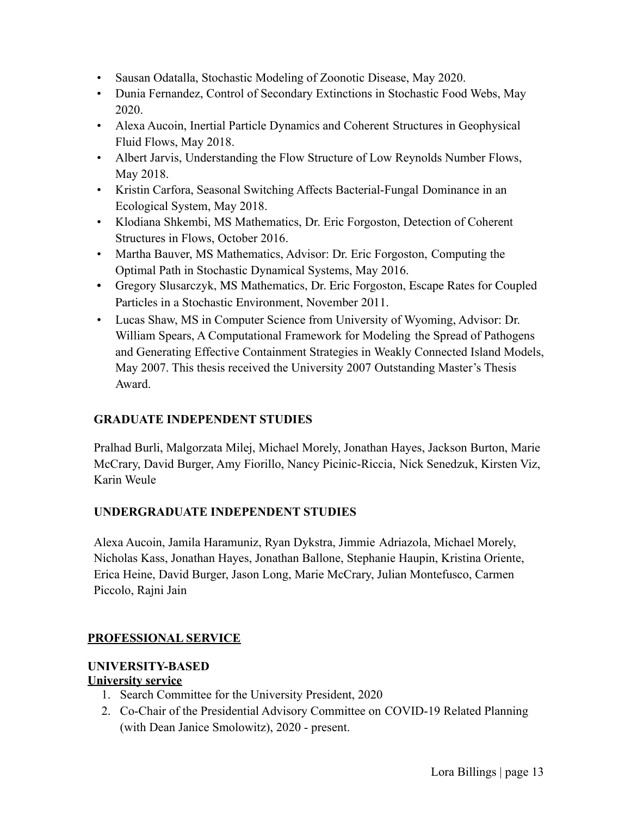- Sausan Odatalla, Stochastic Modeling of Zoonotic Disease, May 2020.
- Dunia Fernandez, Control of Secondary Extinctions in Stochastic Food Webs, May 2020.
- Alexa Aucoin, Inertial Particle Dynamics and Coherent Structures in Geophysical Fluid Flows, May 2018.
- Albert Jarvis, Understanding the Flow Structure of Low Reynolds Number Flows, May 2018.
- Kristin Carfora, Seasonal Switching Affects Bacterial-Fungal Dominance in an Ecological System, May 2018.
- Klodiana Shkembi, MS Mathematics, Dr. Eric Forgoston, Detection of Coherent Structures in Flows, October 2016.
- Martha Bauver, MS Mathematics, Advisor: Dr. Eric Forgoston, Computing the Optimal Path in Stochastic Dynamical Systems, May 2016.
- Gregory Slusarczyk, MS Mathematics, Dr. Eric Forgoston, Escape Rates for Coupled Particles in a Stochastic Environment, November 2011.
- Lucas Shaw, MS in Computer Science from University of Wyoming, Advisor: Dr. William Spears, A Computational Framework for Modeling the Spread of Pathogens and Generating Effective Containment Strategies in Weakly Connected Island Models, May 2007. This thesis received the University 2007 Outstanding Master's Thesis Award.

# **GRADUATE INDEPENDENT STUDIES**

Pralhad Burli, Malgorzata Milej, Michael Morely, Jonathan Hayes, Jackson Burton, Marie McCrary, David Burger, Amy Fiorillo, Nancy Picinic-Riccia, Nick Senedzuk, Kirsten Viz, Karin Weule

## **UNDERGRADUATE INDEPENDENT STUDIES**

Alexa Aucoin, Jamila Haramuniz, Ryan Dykstra, Jimmie Adriazola, Michael Morely, Nicholas Kass, Jonathan Hayes, Jonathan Ballone, Stephanie Haupin, Kristina Oriente, Erica Heine, David Burger, Jason Long, Marie McCrary, Julian Montefusco, Carmen Piccolo, Rajni Jain

## **PROFESSIONAL SERVICE**

## **UNIVERSITY-BASED**

## **University service**

- 1. Search Committee for the University President, 2020
- 2. Co-Chair of the Presidential Advisory Committee on COVID-19 Related Planning (with Dean Janice Smolowitz), 2020 - present.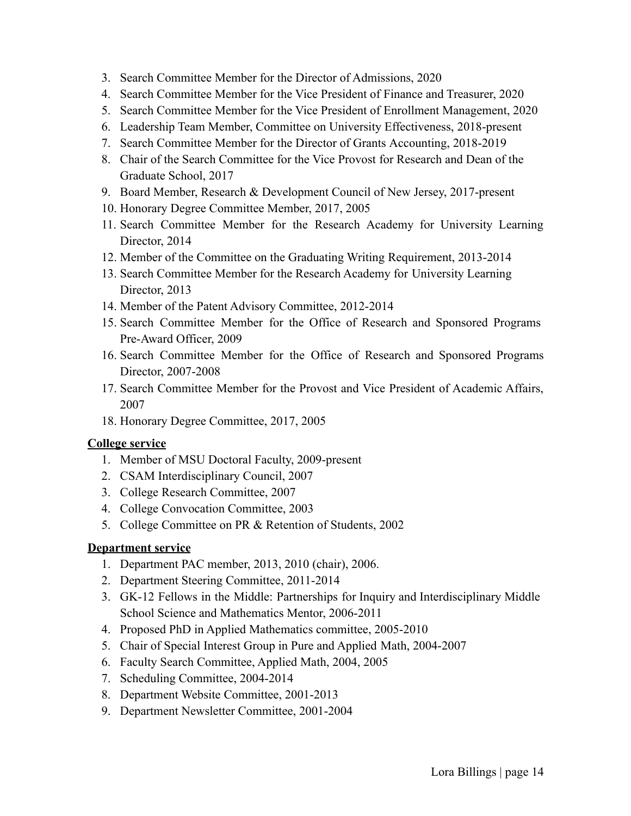- 3. Search Committee Member for the Director of Admissions, 2020
- 4. Search Committee Member for the Vice President of Finance and Treasurer, 2020
- 5. Search Committee Member for the Vice President of Enrollment Management, 2020
- 6. Leadership Team Member, Committee on University Effectiveness, 2018-present
- 7. Search Committee Member for the Director of Grants Accounting, 2018-2019
- 8. Chair of the Search Committee for the Vice Provost for Research and Dean of the Graduate School, 2017
- 9. Board Member, Research & Development Council of New Jersey, 2017-present
- 10. Honorary Degree Committee Member, 2017, 2005
- 11. Search Committee Member for the Research Academy for University Learning Director, 2014
- 12. Member of the Committee on the Graduating Writing Requirement, 2013-2014
- 13. Search Committee Member for the Research Academy for University Learning Director, 2013
- 14. Member of the Patent Advisory Committee, 2012-2014
- 15. Search Committee Member for the Office of Research and Sponsored Programs Pre-Award Officer, 2009
- 16. Search Committee Member for the Office of Research and Sponsored Programs Director, 2007-2008
- 17. Search Committee Member for the Provost and Vice President of Academic Affairs, 2007
- 18. Honorary Degree Committee, 2017, 2005

## **College service**

- 1. Member of MSU Doctoral Faculty, 2009-present
- 2. CSAM Interdisciplinary Council, 2007
- 3. College Research Committee, 2007
- 4. College Convocation Committee, 2003
- 5. College Committee on PR & Retention of Students, 2002

## **Department service**

- 1. Department PAC member, 2013, 2010 (chair), 2006.
- 2. Department Steering Committee, 2011-2014
- 3. GK-12 Fellows in the Middle: Partnerships for Inquiry and Interdisciplinary Middle School Science and Mathematics Mentor, 2006-2011
- 4. Proposed PhD in Applied Mathematics committee, 2005-2010
- 5. Chair of Special Interest Group in Pure and Applied Math, 2004-2007
- 6. Faculty Search Committee, Applied Math, 2004, 2005
- 7. Scheduling Committee, 2004-2014
- 8. Department Website Committee, 2001-2013
- 9. Department Newsletter Committee, 2001-2004